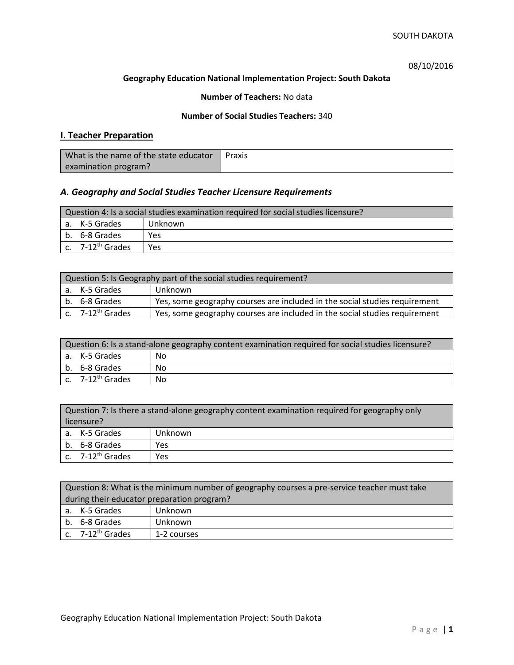08/10/2016

### **Geography Education National Implementation Project: South Dakota**

## **Number of Teachers:** No data

## **Number of Social Studies Teachers:** 340

## **I. Teacher Preparation**

| What is the name of the state educator | Praxis |
|----------------------------------------|--------|
| examination program?                   |        |

## *A. Geography and Social Studies Teacher Licensure Requirements*

| Question 4: Is a social studies examination required for social studies licensure? |                              |     |  |
|------------------------------------------------------------------------------------|------------------------------|-----|--|
|                                                                                    | a. K-5 Grades<br>Unknown     |     |  |
|                                                                                    | b. 6-8 Grades                | Yes |  |
|                                                                                    | c. 7-12 <sup>th</sup> Grades | Yes |  |

| Question 5: Is Geography part of the social studies requirement? |                                                                            |  |
|------------------------------------------------------------------|----------------------------------------------------------------------------|--|
| a. K-5 Grades                                                    | Unknown                                                                    |  |
| b. 6-8 Grades                                                    | Yes, some geography courses are included in the social studies requirement |  |
| c. $7-12^{th}$ Grades                                            | Yes, some geography courses are included in the social studies requirement |  |

| Question 6: Is a stand-alone geography content examination required for social studies licensure? |    |  |
|---------------------------------------------------------------------------------------------------|----|--|
| a. K-5 Grades                                                                                     | No |  |
| b. 6-8 Grades                                                                                     | Nο |  |
| c. $7-12^{th}$ Grades                                                                             | No |  |

| Question 7: Is there a stand-alone geography content examination required for geography only<br>licensure? |         |  |  |
|------------------------------------------------------------------------------------------------------------|---------|--|--|
| a. K-5 Grades                                                                                              | Unknown |  |  |
| b. 6-8 Grades<br>Yes                                                                                       |         |  |  |
| c. $7-12^{th}$ Grades                                                                                      | Yes     |  |  |

|                                            | Question 8: What is the minimum number of geography courses a pre-service teacher must take |             |  |  |  |
|--------------------------------------------|---------------------------------------------------------------------------------------------|-------------|--|--|--|
| during their educator preparation program? |                                                                                             |             |  |  |  |
|                                            | a. K-5 Grades                                                                               | Unknown     |  |  |  |
|                                            | b. 6-8 Grades<br>Unknown                                                                    |             |  |  |  |
|                                            | c. $7-12^{th}$ Grades                                                                       | 1-2 courses |  |  |  |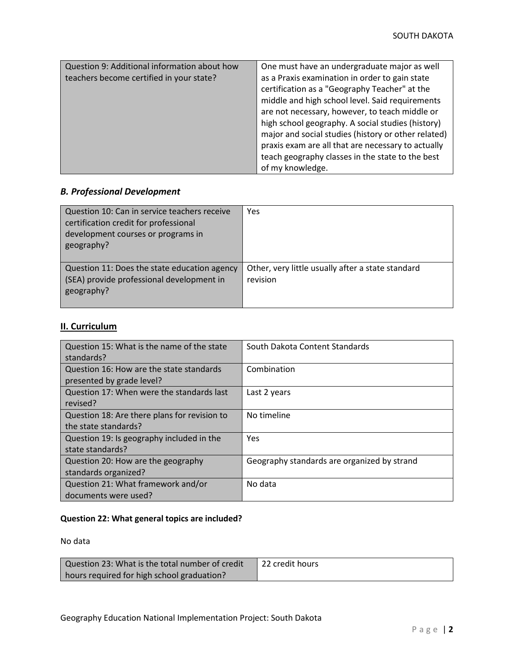| Question 9: Additional information about how<br>teachers become certified in your state? | One must have an undergraduate major as well<br>as a Praxis examination in order to gain state<br>certification as a "Geography Teacher" at the<br>middle and high school level. Said requirements<br>are not necessary, however, to teach middle or<br>high school geography. A social studies (history)<br>major and social studies (history or other related)<br>praxis exam are all that are necessary to actually<br>teach geography classes in the state to the best<br>of my knowledge. |
|------------------------------------------------------------------------------------------|------------------------------------------------------------------------------------------------------------------------------------------------------------------------------------------------------------------------------------------------------------------------------------------------------------------------------------------------------------------------------------------------------------------------------------------------------------------------------------------------|
|------------------------------------------------------------------------------------------|------------------------------------------------------------------------------------------------------------------------------------------------------------------------------------------------------------------------------------------------------------------------------------------------------------------------------------------------------------------------------------------------------------------------------------------------------------------------------------------------|

# *B. Professional Development*

| Question 10: Can in service teachers receive<br>certification credit for professional<br>development courses or programs in<br>geography? | Yes                                                           |
|-------------------------------------------------------------------------------------------------------------------------------------------|---------------------------------------------------------------|
| Question 11: Does the state education agency<br>(SEA) provide professional development in<br>geography?                                   | Other, very little usually after a state standard<br>revision |

# **II. Curriculum**

| Question 15: What is the name of the state   | South Dakota Content Standards              |
|----------------------------------------------|---------------------------------------------|
| standards?                                   |                                             |
| Question 16: How are the state standards     | Combination                                 |
| presented by grade level?                    |                                             |
| Question 17: When were the standards last    | Last 2 years                                |
| revised?                                     |                                             |
| Question 18: Are there plans for revision to | No timeline                                 |
| the state standards?                         |                                             |
| Question 19: Is geography included in the    | <b>Yes</b>                                  |
| state standards?                             |                                             |
| Question 20: How are the geography           | Geography standards are organized by strand |
| standards organized?                         |                                             |
| Question 21: What framework and/or           | No data                                     |
| documents were used?                         |                                             |

## **Question 22: What general topics are included?**

No data

| Question 23: What is the total number of credit | 22 credit hours |
|-------------------------------------------------|-----------------|
| hours required for high school graduation?      |                 |